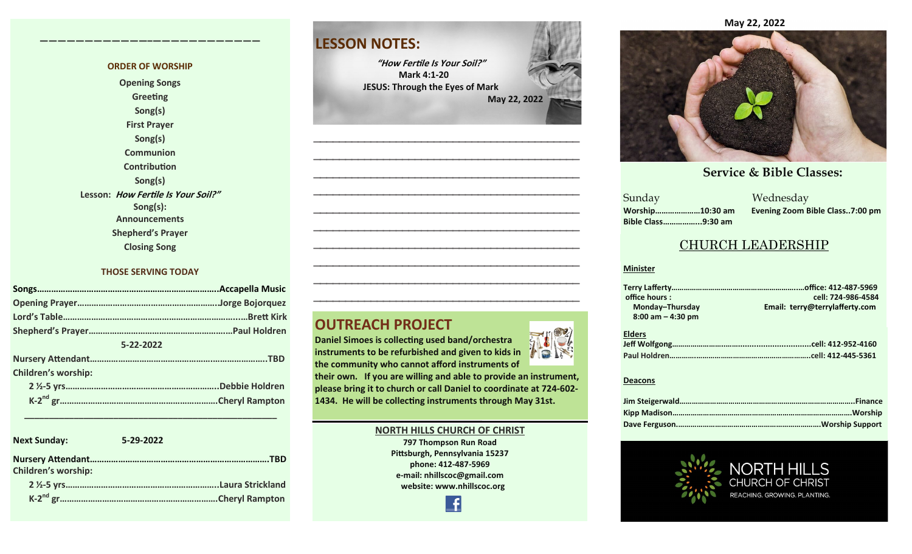#### **ORDER OF WORSHIP**

**————————————–————————————**

**Opening Songs Greeting Song(s) First Prayer Song(s) Communion Contribution Song(s) Lesson: How Fertile Is Your Soil?" Song(s): Announcements Shepherd's Prayer Closing Song**

#### **THOSE SERVING TODAY**

| 5-22-2022                  |  |
|----------------------------|--|
|                            |  |
| <b>Children's worship:</b> |  |
|                            |  |
|                            |  |
|                            |  |

| <b>Next Sunday:</b>        | 5-29-2022 |
|----------------------------|-----------|
| <b>Children's worship:</b> | .TRD      |
|                            |           |
|                            |           |

 **\_\_\_\_\_\_\_\_\_\_\_\_\_\_\_\_\_\_\_\_\_\_\_\_\_\_\_\_\_\_\_\_\_\_\_\_\_\_\_\_\_\_\_\_\_\_\_\_\_\_\_**

### **LESSON NOTES:**

**"How Fertile Is Your Soil?" Mark 4:1-20 JESUS: Through the Eyes of Mark May 22, 2022**

**—————————————————————————————————————————— —————————————————————————————————————————— —————————————————————————————————————————— —————————————————————————————————————————— —————————————————————————————————————————— —————————————————————————————————————————— —————————————————————————————————————————— —————————————————————————————————————————— —————————————————————————————————————————— ——————————————————————————————————————————**

### **OUTREACH PROJECT**

**Daniel Simoes is collecting used band/orchestra instruments to be refurbished and given to kids in the community who cannot afford instruments of** 

**their own. If you are willing and able to provide an instrument, please bring it to church or call Daniel to coordinate at 724-602- 1434. He will be collecting instruments through May 31st.** 

#### **NORTH HILLS CHURCH OF CHRIST**

**797 Thompson Run Road Pittsburgh, Pennsylvania 15237 phone: 412-487-5969 e-mail: nhillscoc@gmail.com website: www.nhillscoc.org** 

£



#### **January 14, 2018 April 22, 2018 February 10, 2019 March 24, 2019 May 17, 2020 December 6, 2020 March 7, 2021 June 20, 2021 July 18, 2021 January 30, 2022 November 7, 2021**

#### **Service & Bible Classes:**<br>
Medeeder **October 29, 2017 November 5, 2017 November 12, 2017 November 26, 2017 December 24, 2017 January 24, 2017**

**March 18, 2018 January 28, 2018 February 4, 2018 January 21, 2018 Sunday** Sunday Wednesday **Bible Class……………...9:30 am**

**April 4, 2021**

**December 17, 2017 December 29, 2019 February 9, 2020 January 26, 2020 February 23, 2020 Worship…………………10:30 am Evening Zoom Bible Class..7:00 pm**

#### CHURCH LEADERSHIP

#### **Minister**

| office hours:         | cell: 724-986-4584             |
|-----------------------|--------------------------------|
| Monday-Thursday       | Email: terry@terrylafferty.com |
| $8:00$ am $-$ 4:30 pm |                                |
|                       |                                |

| <b>Elders</b> |  |
|---------------|--|
|               |  |
|               |  |

#### **Deacons**



#### **May 22, 2022**